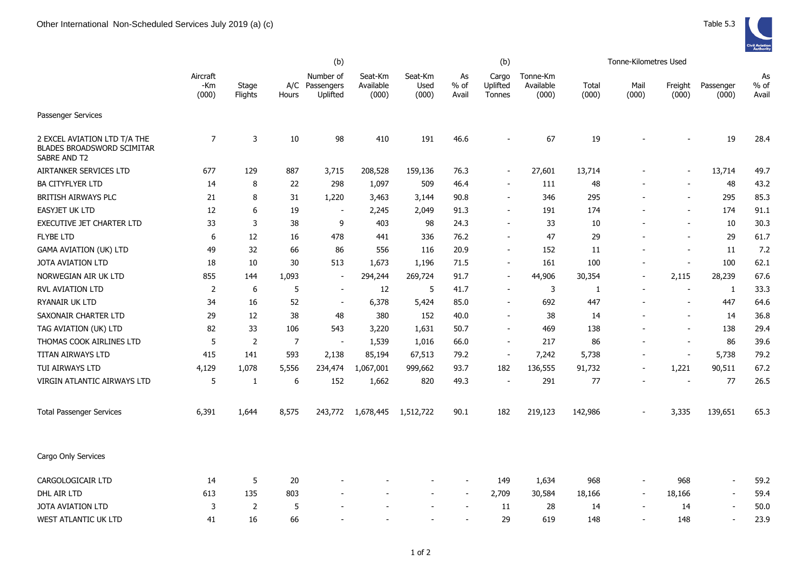

|                                                                                   |                          |                  | (b)            |                                     |                               |                          |                          |                             | Tonne-Kilometres Used          |                |                          |                          |                          |                     |
|-----------------------------------------------------------------------------------|--------------------------|------------------|----------------|-------------------------------------|-------------------------------|--------------------------|--------------------------|-----------------------------|--------------------------------|----------------|--------------------------|--------------------------|--------------------------|---------------------|
|                                                                                   | Aircraft<br>-Km<br>(000) | Stage<br>Flights | A/C<br>Hours   | Number of<br>Passengers<br>Uplifted | Seat-Km<br>Available<br>(000) | Seat-Km<br>Used<br>(000) | As<br>$%$ of<br>Avail    | Cargo<br>Uplifted<br>Tonnes | Tonne-Km<br>Available<br>(000) | Total<br>(000) | Mail<br>(000)            | Freight<br>(000)         | Passenger<br>(000)       | As<br>% of<br>Avail |
| Passenger Services                                                                |                          |                  |                |                                     |                               |                          |                          |                             |                                |                |                          |                          |                          |                     |
| 2 EXCEL AVIATION LTD T/A THE<br><b>BLADES BROADSWORD SCIMITAR</b><br>SABRE AND T2 | 7                        | 3                | 10             | 98                                  | 410                           | 191                      | 46.6                     |                             | 67                             | 19             |                          |                          | 19                       | 28.4                |
| AIRTANKER SERVICES LTD                                                            | 677                      | 129              | 887            | 3,715                               | 208,528                       | 159,136                  | 76.3                     | $\blacksquare$              | 27,601                         | 13,714         |                          |                          | 13,714                   | 49.7                |
| <b>BA CITYFLYER LTD</b>                                                           | 14                       | 8                | 22             | 298                                 | 1,097                         | 509                      | 46.4                     | $\sim$                      | 111                            | 48             |                          | $\sim$                   | 48                       | 43.2                |
| BRITISH AIRWAYS PLC                                                               | 21                       | 8                | 31             | 1,220                               | 3,463                         | 3,144                    | 90.8                     | $\blacksquare$              | 346                            | 295            |                          |                          | 295                      | 85.3                |
| EASYJET UK LTD                                                                    | 12                       | 6                | 19             | $\sim$                              | 2,245                         | 2,049                    | 91.3                     | $\blacksquare$              | 191                            | 174            |                          | $\overline{\phantom{a}}$ | 174                      | 91.1                |
| EXECUTIVE JET CHARTER LTD                                                         | 33                       | 3                | 38             | 9                                   | 403                           | 98                       | 24.3                     | $\overline{\phantom{a}}$    | 33                             | 10             |                          | $\overline{\phantom{a}}$ | 10                       | 30.3                |
| <b>FLYBE LTD</b>                                                                  | 6                        | 12               | 16             | 478                                 | 441                           | 336                      | 76.2                     | $\blacksquare$              | 47                             | 29             |                          | $\overline{\phantom{a}}$ | 29                       | 61.7                |
| <b>GAMA AVIATION (UK) LTD</b>                                                     | 49                       | 32               | 66             | 86                                  | 556                           | 116                      | 20.9                     | $\overline{\phantom{a}}$    | 152                            | 11             |                          | $\overline{\phantom{a}}$ | 11                       | 7.2                 |
| JOTA AVIATION LTD                                                                 | 18                       | 10               | 30             | 513                                 | 1,673                         | 1,196                    | 71.5                     | $\sim$                      | 161                            | 100            | $\overline{\phantom{a}}$ | $\sim$                   | 100                      | 62.1                |
| NORWEGIAN AIR UK LTD                                                              | 855                      | 144              | 1,093          | $\sim$                              | 294,244                       | 269,724                  | 91.7                     | $\blacksquare$              | 44,906                         | 30,354         | $\overline{\phantom{a}}$ | 2,115                    | 28,239                   | 67.6                |
| <b>RVL AVIATION LTD</b>                                                           | 2                        | 6                | 5              | $\overline{\phantom{a}}$            | 12                            | 5                        | 41.7                     | $\blacksquare$              | 3                              | 1              |                          | $\overline{\phantom{a}}$ | $\mathbf{1}$             | 33.3                |
| RYANAIR UK LTD                                                                    | 34                       | 16               | 52             | $\sim$                              | 6,378                         | 5,424                    | 85.0                     |                             | 692                            | 447            |                          | $\blacksquare$           | 447                      | 64.6                |
| SAXONAIR CHARTER LTD                                                              | 29                       | 12               | 38             | 48                                  | 380                           | 152                      | 40.0                     | $\blacksquare$              | 38                             | 14             |                          | $\sim$                   | 14                       | 36.8                |
| TAG AVIATION (UK) LTD                                                             | 82                       | 33               | 106            | 543                                 | 3,220                         | 1,631                    | 50.7                     | $\blacksquare$              | 469                            | 138            |                          | $\overline{\phantom{a}}$ | 138                      | 29.4                |
| THOMAS COOK AIRLINES LTD                                                          | 5                        | 2                | $\overline{7}$ | $\blacksquare$                      | 1,539                         | 1,016                    | 66.0                     | $\blacksquare$              | 217                            | 86             | $\overline{\phantom{a}}$ | $\overline{\phantom{a}}$ | 86                       | 39.6                |
| TITAN AIRWAYS LTD                                                                 | 415                      | 141              | 593            | 2,138                               | 85,194                        | 67,513                   | 79.2                     | $\overline{\phantom{a}}$    | 7,242                          | 5,738          |                          | $\overline{\phantom{a}}$ | 5,738                    | 79.2                |
| TUI AIRWAYS LTD                                                                   | 4,129                    | 1,078            | 5,556          | 234,474                             | 1,067,001                     | 999,662                  | 93.7                     | 182                         | 136,555                        | 91,732         |                          | 1,221                    | 90,511                   | 67.2                |
| VIRGIN ATLANTIC AIRWAYS LTD                                                       | 5                        | 1                | 6              | 152                                 | 1,662                         | 820                      | 49.3                     |                             | 291                            | 77             |                          |                          | 77                       | 26.5                |
| <b>Total Passenger Services</b>                                                   | 6,391                    | 1,644            | 8,575          | 243,772                             | 1,678,445                     | 1,512,722                | 90.1                     | 182                         | 219,123                        | 142,986        |                          | 3,335                    | 139,651                  | 65.3                |
| Cargo Only Services                                                               |                          |                  |                |                                     |                               |                          |                          |                             |                                |                |                          |                          |                          |                     |
| CARGOLOGICAIR LTD                                                                 | 14                       | 5                | 20             |                                     |                               |                          |                          | 149                         | 1,634                          | 968            |                          | 968                      | $\sim$                   | 59.2                |
| DHL AIR LTD                                                                       | 613                      | 135              | 803            |                                     |                               | $\overline{\phantom{a}}$ | $\overline{\phantom{a}}$ | 2,709                       | 30,584                         | 18,166         | $\overline{\phantom{a}}$ | 18,166                   | $\overline{\phantom{a}}$ | 59.4                |
| <b>JOTA AVIATION LTD</b>                                                          | 3                        | $\overline{2}$   | 5              |                                     |                               |                          | $\overline{\phantom{a}}$ | 11                          | 28                             | 14             | $\overline{\phantom{a}}$ | 14                       | $\overline{\phantom{a}}$ | 50.0                |
| WEST ATLANTIC UK LTD                                                              | 41                       | 16               | 66             |                                     |                               |                          |                          | 29                          | 619                            | 148            |                          | 148                      |                          | 23.9                |